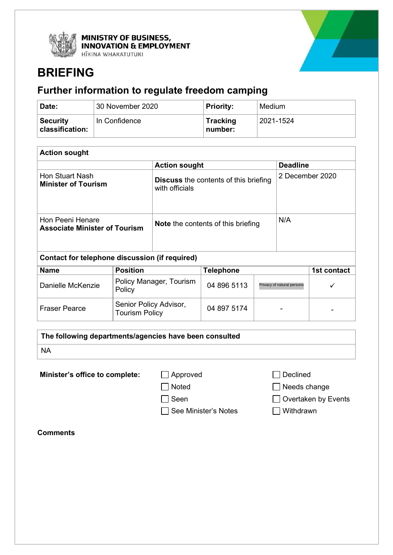

MINISTRY OF BUSINESS,<br>INNOVATION & EMPLOYMENT

HĪKINA WHAKATUTUKI



# **BRIEFING**

# **Further information to regulate freedom camping**

| Date:                              | 30 November 2020 | <b>Priority:</b>           | Medium    |
|------------------------------------|------------------|----------------------------|-----------|
| <b>Security</b><br>classification: | In Confidence    | <b>Tracking</b><br>number: | 2021-1524 |

| <b>Action sought</b>                                     |                                                                |                 |  |  |
|----------------------------------------------------------|----------------------------------------------------------------|-----------------|--|--|
|                                                          | <b>Action sought</b>                                           | <b>Deadline</b> |  |  |
| Hon Stuart Nash<br><b>Minister of Tourism</b>            | <b>Discuss</b> the contents of this briefing<br>with officials | 2 December 2020 |  |  |
| Hon Peeni Henare<br><b>Associate Minister of Tourism</b> | <b>Note</b> the contents of this briefing                      | N/A             |  |  |

| Contact for telephone discussion (if required) |                                                 |                  |                            |             |  |
|------------------------------------------------|-------------------------------------------------|------------------|----------------------------|-------------|--|
| <b>Name</b>                                    | <b>Position</b>                                 | <b>Telephone</b> |                            | 1st contact |  |
| Danielle McKenzie                              | Policy Manager, Tourism<br>Policy               | 04 896 5113      | Privacy of natural persons |             |  |
| <b>Fraser Pearce</b>                           | Senior Policy Advisor,<br><b>Tourism Policy</b> | 04 897 5174      | ۰                          | -           |  |

| The following departments/agencies have been consulted |
|--------------------------------------------------------|
| <b>NA</b>                                              |
|                                                        |

**Minister's office to complete:** △ Approved △ △ Declined

□ See Minister's Notes I Withdrawn

□ Noted Needs change

Seen Overtaken by Events

**Comments**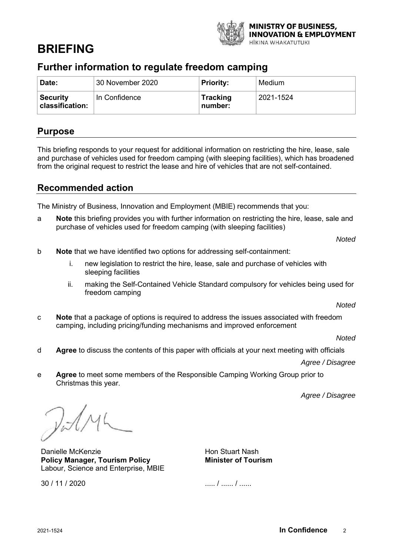

# **BRIEFING**

# **Further information to regulate freedom camping**

| Date:                                  | 30 November 2020 | <b>Priority:</b>           | Medium    |
|----------------------------------------|------------------|----------------------------|-----------|
| <b>Security</b><br>$ $ classification: | In Confidence    | <b>Tracking</b><br>number: | 2021-1524 |

## **Purpose**

This briefing responds to your request for additional information on restricting the hire, lease, sale and purchase of vehicles used for freedom camping (with sleeping facilities), which has broadened from the original request to restrict the lease and hire of vehicles that are not self-contained.

# **Recommended action**

The Ministry of Business, Innovation and Employment (MBIE) recommends that you:

a **Note** this briefing provides you with further information on restricting the hire, lease, sale and purchase of vehicles used for freedom camping (with sleeping facilities)

*Noted*

- b **Note** that we have identified two options for addressing self-containment:
	- i. new legislation to restrict the hire, lease, sale and purchase of vehicles with sleeping facilities
	- ii. making the Self-Contained Vehicle Standard compulsory for vehicles being used for freedom camping

*Noted*

c **Note** that a package of options is required to address the issues associated with freedom camping, including pricing/funding mechanisms and improved enforcement

*Noted*

d **Agree** to discuss the contents of this paper with officials at your next meeting with officials

*Agree / Disagree*

e **Agree** to meet some members of the Responsible Camping Working Group prior to Christmas this year.

*Agree / Disagree*

 $\mathcal{V}$  d  $\wedge$ 

Danielle McKenzie **Policy Manager, Tourism Policy**  Labour, Science and Enterprise, MBIE

Hon Stuart Nash **Minister of Tourism**

30 / 11 / 2020

..... / ...... / ......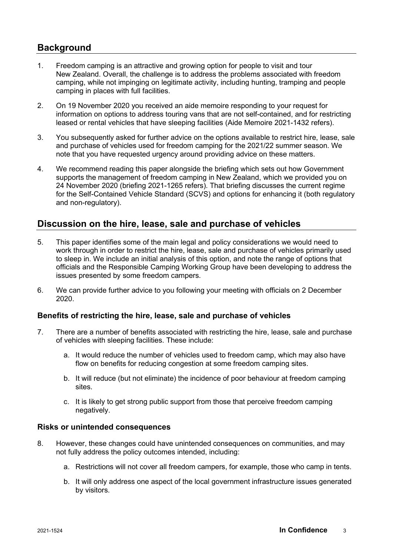# **Background**

- 1. Freedom camping is an attractive and growing option for people to visit and tour New Zealand. Overall, the challenge is to address the problems associated with freedom camping, while not impinging on legitimate activity, including hunting, tramping and people camping in places with full facilities.
- 2. On 19 November 2020 you received an aide memoire responding to your request for information on options to address touring vans that are not self-contained, and for restricting leased or rental vehicles that have sleeping facilities (Aide Memoire 2021-1432 refers).
- 3. You subsequently asked for further advice on the options available to restrict hire, lease, sale and purchase of vehicles used for freedom camping for the 2021/22 summer season. We note that you have requested urgency around providing advice on these matters.
- 4. We recommend reading this paper alongside the briefing which sets out how Government supports the management of freedom camping in New Zealand, which we provided you on 24 November 2020 (briefing 2021-1265 refers). That briefing discusses the current regime for the Self-Contained Vehicle Standard (SCVS) and options for enhancing it (both regulatory and non-regulatory).

## **Discussion on the hire, lease, sale and purchase of vehicles**

- 5. This paper identifies some of the main legal and policy considerations we would need to work through in order to restrict the hire, lease, sale and purchase of vehicles primarily used to sleep in. We include an initial analysis of this option, and note the range of options that officials and the Responsible Camping Working Group have been developing to address the issues presented by some freedom campers.
- 6. We can provide further advice to you following your meeting with officials on 2 December 2020.

### **Benefits of restricting the hire, lease, sale and purchase of vehicles**

- 7. There are a number of benefits associated with restricting the hire, lease, sale and purchase of vehicles with sleeping facilities. These include:
	- a. It would reduce the number of vehicles used to freedom camp, which may also have flow on benefits for reducing congestion at some freedom camping sites.
	- b. It will reduce (but not eliminate) the incidence of poor behaviour at freedom camping sites.
	- c. It is likely to get strong public support from those that perceive freedom camping negatively.

### **Risks or unintended consequences**

- 8. However, these changes could have unintended consequences on communities, and may not fully address the policy outcomes intended, including:
	- a. Restrictions will not cover all freedom campers, for example, those who camp in tents.
	- b. It will only address one aspect of the local government infrastructure issues generated by visitors.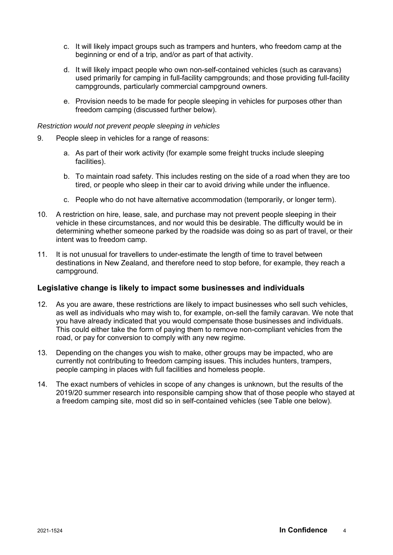- c. It will likely impact groups such as trampers and hunters, who freedom camp at the beginning or end of a trip, and/or as part of that activity.
- d. It will likely impact people who own non-self-contained vehicles (such as caravans) used primarily for camping in full-facility campgrounds; and those providing full-facility campgrounds, particularly commercial campground owners.
- e. Provision needs to be made for people sleeping in vehicles for purposes other than freedom camping (discussed further below).

#### *Restriction would not prevent people sleeping in vehicles*

- 9. People sleep in vehicles for a range of reasons:
	- a. As part of their work activity (for example some freight trucks include sleeping facilities).
	- b. To maintain road safety. This includes resting on the side of a road when they are too tired, or people who sleep in their car to avoid driving while under the influence.
	- c. People who do not have alternative accommodation (temporarily, or longer term).
- 10. A restriction on hire, lease, sale, and purchase may not prevent people sleeping in their vehicle in these circumstances, and nor would this be desirable. The difficulty would be in determining whether someone parked by the roadside was doing so as part of travel, or their intent was to freedom camp.
- 11. It is not unusual for travellers to under-estimate the length of time to travel between destinations in New Zealand, and therefore need to stop before, for example, they reach a campground.

#### **Legislative change is likely to impact some businesses and individuals**

- 12. As you are aware, these restrictions are likely to impact businesses who sell such vehicles, as well as individuals who may wish to, for example, on-sell the family caravan. We note that you have already indicated that you would compensate those businesses and individuals. This could either take the form of paying them to remove non-compliant vehicles from the road, or pay for conversion to comply with any new regime.
- 13. Depending on the changes you wish to make, other groups may be impacted, who are currently not contributing to freedom camping issues. This includes hunters, trampers, people camping in places with full facilities and homeless people.
- 14. The exact numbers of vehicles in scope of any changes is unknown, but the results of the 2019/20 summer research into responsible camping show that of those people who stayed at a freedom camping site, most did so in self-contained vehicles (see Table one below).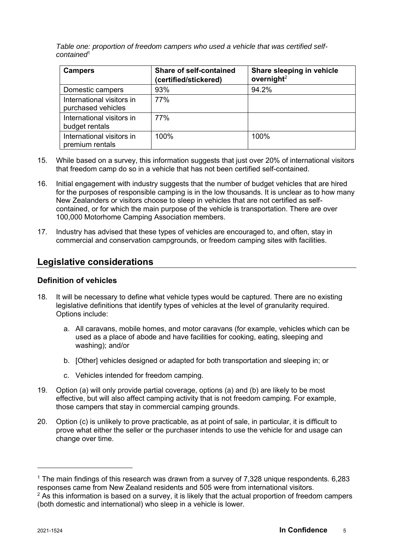*Table one: proportion of freedom campers who used a vehicle that was certified selfcontained*<sup>1</sup>

| <b>Campers</b>                                  | <b>Share of self-contained</b><br>(certified/stickered) | Share sleeping in vehicle<br>overnight <sup>2</sup> |
|-------------------------------------------------|---------------------------------------------------------|-----------------------------------------------------|
| Domestic campers                                | 93%                                                     | 94.2%                                               |
| International visitors in<br>purchased vehicles | 77%                                                     |                                                     |
| International visitors in<br>budget rentals     | 77%                                                     |                                                     |
| International visitors in<br>premium rentals    | 100%                                                    | 100%                                                |

- 15. While based on a survey, this information suggests that just over 20% of international visitors that freedom camp do so in a vehicle that has not been certified self-contained.
- 16. Initial engagement with industry suggests that the number of budget vehicles that are hired for the purposes of responsible camping is in the low thousands. It is unclear as to how many New Zealanders or visitors choose to sleep in vehicles that are not certified as selfcontained, or for which the main purpose of the vehicle is transportation. There are over 100,000 Motorhome Camping Association members.
- 17. Industry has advised that these types of vehicles are encouraged to, and often, stay in commercial and conservation campgrounds, or freedom camping sites with facilities.

# **Legislative considerations**

### **Definition of vehicles**

- 18. It will be necessary to define what vehicle types would be captured. There are no existing legislative definitions that identify types of vehicles at the level of granularity required. Options include:
	- a. All caravans, mobile homes, and motor caravans (for example, vehicles which can be used as a place of abode and have facilities for cooking, eating, sleeping and washing); and/or
	- b. [Other] vehicles designed or adapted for both transportation and sleeping in; or
	- c. Vehicles intended for freedom camping.
- 19. Option (a) will only provide partial coverage, options (a) and (b) are likely to be most effective, but will also affect camping activity that is not freedom camping. For example, those campers that stay in commercial camping grounds.
- 20. Option (c) is unlikely to prove practicable, as at point of sale, in particular, it is difficult to prove what either the seller or the purchaser intends to use the vehicle for and usage can change over time.

 $1$  The main findings of this research was drawn from a survey of 7,328 unique respondents. 6,283 responses came from New Zealand residents and 505 were from international visitors.

 $2$  As this information is based on a survey, it is likely that the actual proportion of freedom campers (both domestic and international) who sleep in a vehicle is lower.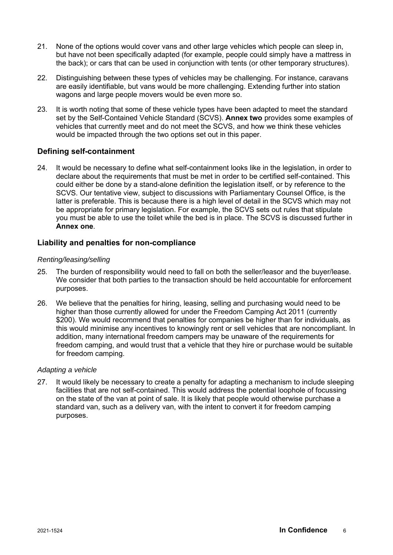- 21. None of the options would cover vans and other large vehicles which people can sleep in, but have not been specifically adapted (for example, people could simply have a mattress in the back); or cars that can be used in conjunction with tents (or other temporary structures).
- 22. Distinguishing between these types of vehicles may be challenging. For instance, caravans are easily identifiable, but vans would be more challenging. Extending further into station wagons and large people movers would be even more so.
- 23. It is worth noting that some of these vehicle types have been adapted to meet the standard set by the Self-Contained Vehicle Standard (SCVS). **Annex two** provides some examples of vehicles that currently meet and do not meet the SCVS, and how we think these vehicles would be impacted through the two options set out in this paper.

### **Defining self-containment**

24. It would be necessary to define what self-containment looks like in the legislation, in order to declare about the requirements that must be met in order to be certified self-contained. This could either be done by a stand-alone definition the legislation itself, or by reference to the SCVS. Our tentative view, subject to discussions with Parliamentary Counsel Office, is the latter is preferable. This is because there is a high level of detail in the SCVS which may not be appropriate for primary legislation. For example, the SCVS sets out rules that stipulate you must be able to use the toilet while the bed is in place. The SCVS is discussed further in **Annex one**.

#### **Liability and penalties for non-compliance**

#### *Renting/leasing/selling*

- 25. The burden of responsibility would need to fall on both the seller/leasor and the buyer/lease. We consider that both parties to the transaction should be held accountable for enforcement purposes.
- 26. We believe that the penalties for hiring, leasing, selling and purchasing would need to be higher than those currently allowed for under the Freedom Camping Act 2011 (currently \$200). We would recommend that penalties for companies be higher than for individuals, as this would minimise any incentives to knowingly rent or sell vehicles that are noncompliant. In addition, many international freedom campers may be unaware of the requirements for freedom camping, and would trust that a vehicle that they hire or purchase would be suitable for freedom camping.

#### *Adapting a vehicle*

27. It would likely be necessary to create a penalty for adapting a mechanism to include sleeping facilities that are not self-contained. This would address the potential loophole of focussing on the state of the van at point of sale. It is likely that people would otherwise purchase a standard van, such as a delivery van, with the intent to convert it for freedom camping purposes.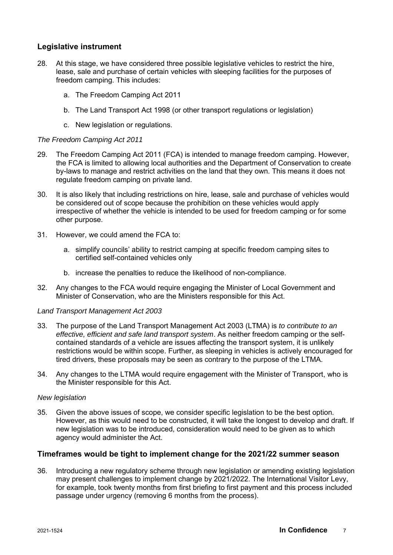### **Legislative instrument**

- 28. At this stage, we have considered three possible legislative vehicles to restrict the hire, lease, sale and purchase of certain vehicles with sleeping facilities for the purposes of freedom camping. This includes:
	- a. The Freedom Camping Act 2011
	- b. The Land Transport Act 1998 (or other transport regulations or legislation)
	- c. New legislation or regulations.

#### *The Freedom Camping Act 2011*

- 29. The Freedom Camping Act 2011 (FCA) is intended to manage freedom camping. However, the FCA is limited to allowing local authorities and the Department of Conservation to create by-laws to manage and restrict activities on the land that they own. This means it does not regulate freedom camping on private land.
- 30. It is also likely that including restrictions on hire, lease, sale and purchase of vehicles would be considered out of scope because the prohibition on these vehicles would apply irrespective of whether the vehicle is intended to be used for freedom camping or for some other purpose.
- 31. However, we could amend the FCA to:
	- a. simplify councils' ability to restrict camping at specific freedom camping sites to certified self-contained vehicles only
	- b. increase the penalties to reduce the likelihood of non-compliance.
- 32. Any changes to the FCA would require engaging the Minister of Local Government and Minister of Conservation, who are the Ministers responsible for this Act.

#### *Land Transport Management Act 2003*

- 33. The purpose of the Land Transport Management Act 2003 (LTMA) is *to contribute to an effective, efficient and safe land transport system*. As neither freedom camping or the selfcontained standards of a vehicle are issues affecting the transport system, it is unlikely restrictions would be within scope. Further, as sleeping in vehicles is actively encouraged for tired drivers, these proposals may be seen as contrary to the purpose of the LTMA.
- 34. Any changes to the LTMA would require engagement with the Minister of Transport, who is the Minister responsible for this Act.

#### *New legislation*

35. Given the above issues of scope, we consider specific legislation to be the best option. However, as this would need to be constructed, it will take the longest to develop and draft. If new legislation was to be introduced, consideration would need to be given as to which agency would administer the Act.

#### **Timeframes would be tight to implement change for the 2021/22 summer season**

36. Introducing a new regulatory scheme through new legislation or amending existing legislation may present challenges to implement change by 2021/2022. The International Visitor Levy, for example, took twenty months from first briefing to first payment and this process included passage under urgency (removing 6 months from the process).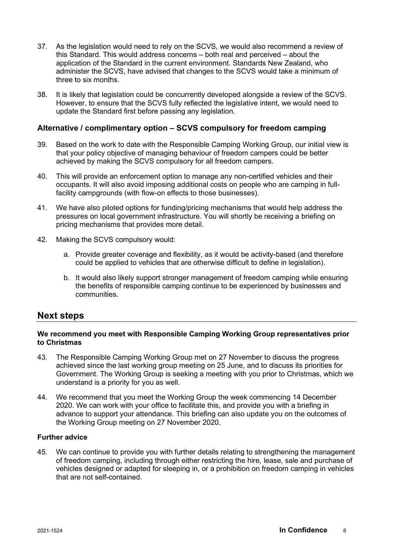- 37. As the legislation would need to rely on the SCVS, we would also recommend a review of this Standard. This would address concerns – both real and perceived – about the application of the Standard in the current environment. Standards New Zealand, who administer the SCVS, have advised that changes to the SCVS would take a minimum of three to six months.
- 38. It is likely that legislation could be concurrently developed alongside a review of the SCVS. However, to ensure that the SCVS fully reflected the legislative intent, we would need to update the Standard first before passing any legislation.

#### **Alternative / complimentary option – SCVS compulsory for freedom camping**

- 39. Based on the work to date with the Responsible Camping Working Group, our initial view is that your policy objective of managing behaviour of freedom campers could be better achieved by making the SCVS compulsory for all freedom campers.
- 40. This will provide an enforcement option to manage any non-certified vehicles and their occupants. It will also avoid imposing additional costs on people who are camping in fullfacility campgrounds (with flow-on effects to those businesses).
- 41. We have also piloted options for funding/pricing mechanisms that would help address the pressures on local government infrastructure. You will shortly be receiving a briefing on pricing mechanisms that provides more detail.
- 42. Making the SCVS compulsory would:
	- a. Provide greater coverage and flexibility, as it would be activity-based (and therefore could be applied to vehicles that are otherwise difficult to define in legislation).
	- b. It would also likely support stronger management of freedom camping while ensuring the benefits of responsible camping continue to be experienced by businesses and communities.

### **Next steps**

#### **We recommend you meet with Responsible Camping Working Group representatives prior to Christmas**

- 43. The Responsible Camping Working Group met on 27 November to discuss the progress achieved since the last working group meeting on 25 June, and to discuss its priorities for Government. The Working Group is seeking a meeting with you prior to Christmas, which we understand is a priority for you as well.
- 44. We recommend that you meet the Working Group the week commencing 14 December 2020. We can work with your office to facilitate this, and provide you with a briefing in advance to support your attendance. This briefing can also update you on the outcomes of the Working Group meeting on 27 November 2020.

#### **Further advice**

45. We can continue to provide you with further details relating to strengthening the management of freedom camping, including through either restricting the hire, lease, sale and purchase of vehicles designed or adapted for sleeping in, or a prohibition on freedom camping in vehicles that are not self-contained.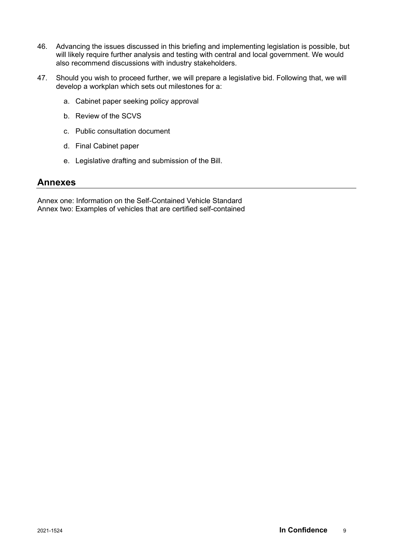- 46. Advancing the issues discussed in this briefing and implementing legislation is possible, but will likely require further analysis and testing with central and local government. We would also recommend discussions with industry stakeholders.
- 47. Should you wish to proceed further, we will prepare a legislative bid. Following that, we will develop a workplan which sets out milestones for a:
	- a. Cabinet paper seeking policy approval
	- b. Review of the SCVS
	- c. Public consultation document
	- d. Final Cabinet paper
	- e. Legislative drafting and submission of the Bill.

### **Annexes**

Annex one: Information on the Self-Contained Vehicle Standard Annex two: Examples of vehicles that are certified self-contained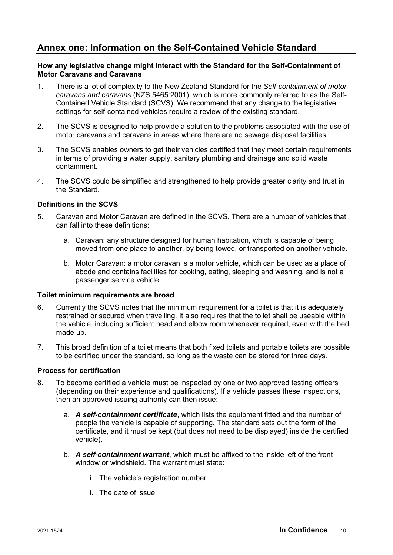# **Annex one: Information on the Self-Contained Vehicle Standard**

#### **How any legislative change might interact with the Standard for the Self-Containment of Motor Caravans and Caravans**

- 1. There is a lot of complexity to the New Zealand Standard for the *Self-containment of motor caravans and caravans* (NZS 5465:2001), which is more commonly referred to as the Self-Contained Vehicle Standard (SCVS). We recommend that any change to the legislative settings for self-contained vehicles require a review of the existing standard.
- 2. The SCVS is designed to help provide a solution to the problems associated with the use of motor caravans and caravans in areas where there are no sewage disposal facilities.
- 3. The SCVS enables owners to get their vehicles certified that they meet certain requirements in terms of providing a water supply, sanitary plumbing and drainage and solid waste containment.
- 4. The SCVS could be simplified and strengthened to help provide greater clarity and trust in the Standard.

#### **Definitions in the SCVS**

- 5. Caravan and Motor Caravan are defined in the SCVS. There are a number of vehicles that can fall into these definitions:
	- a. Caravan: any structure designed for human habitation, which is capable of being moved from one place to another, by being towed, or transported on another vehicle.
	- b. Motor Caravan: a motor caravan is a motor vehicle, which can be used as a place of abode and contains facilities for cooking, eating, sleeping and washing, and is not a passenger service vehicle.

#### **Toilet minimum requirements are broad**

- 6. Currently the SCVS notes that the minimum requirement for a toilet is that it is adequately restrained or secured when travelling. It also requires that the toilet shall be useable within the vehicle, including sufficient head and elbow room whenever required, even with the bed made up.
- 7. This broad definition of a toilet means that both fixed toilets and portable toilets are possible to be certified under the standard, so long as the waste can be stored for three days.

#### **Process for certification**

- 8. To become certified a vehicle must be inspected by one or two approved testing officers (depending on their experience and qualifications). If a vehicle passes these inspections, then an approved issuing authority can then issue:
	- a. *A self-containment certificate*, which lists the equipment fitted and the number of people the vehicle is capable of supporting. The standard sets out the form of the certificate, and it must be kept (but does not need to be displayed) inside the certified vehicle).
	- b. *A self-containment warrant*, which must be affixed to the inside left of the front window or windshield. The warrant must state:
		- i. The vehicle's registration number
		- ii. The date of issue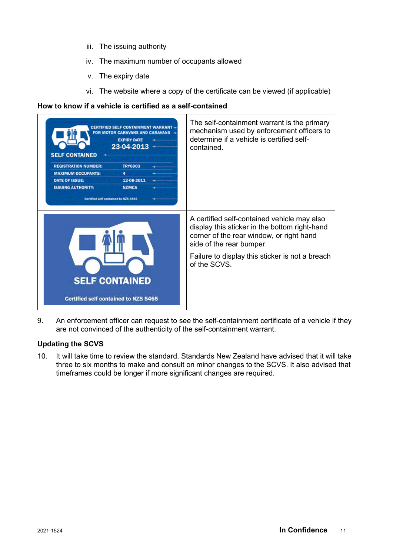- iii. The issuing authority
- iv. The maximum number of occupants allowed
- v. The expiry date
- vi. The website where a copy of the certificate can be viewed (if applicable)

### **How to know if a vehicle is certified as a self-contained**

| <b>MOTOR CARAVANS AND CARAVANS</b><br><b>EXPIRY DATE</b><br>23-04-2013<br><b>SELF CONTAINED</b><br><b>TRY6903</b><br><b>REGISTRATION NUMBER:</b><br><b>MAXIMUM OCCUPANTS:</b><br>4.<br>DATE OF ISSUE:<br>12-08-2011<br><b>ISSUING AUTHORITY:</b><br><b>NZMCA</b><br>Certified self contained to NZS 5465 | The self-containment warrant is the primary<br>mechanism used by enforcement officers to<br>determine if a vehicle is certified self-<br>contained.                                                                                     |
|----------------------------------------------------------------------------------------------------------------------------------------------------------------------------------------------------------------------------------------------------------------------------------------------------------|-----------------------------------------------------------------------------------------------------------------------------------------------------------------------------------------------------------------------------------------|
| <b>SELF CONTAINED</b><br><b>Certified self contained to NZS 5465</b>                                                                                                                                                                                                                                     | A certified self-contained vehicle may also<br>display this sticker in the bottom right-hand<br>corner of the rear window, or right hand<br>side of the rear bumper.<br>Failure to display this sticker is not a breach<br>of the SCVS. |

9. An enforcement officer can request to see the self-containment certificate of a vehicle if they are not convinced of the authenticity of the self-containment warrant.

### **Updating the SCVS**

10. It will take time to review the standard. Standards New Zealand have advised that it will take three to six months to make and consult on minor changes to the SCVS. It also advised that timeframes could be longer if more significant changes are required.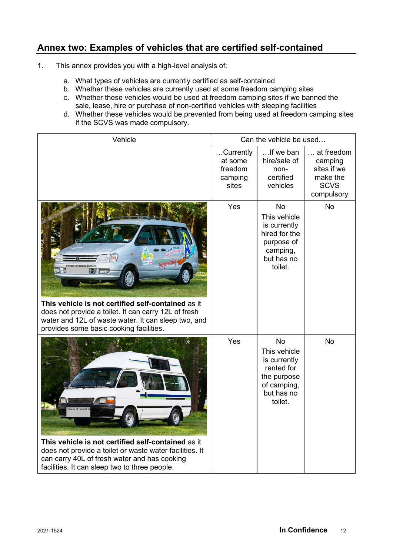# **Annex two: Examples of vehicles that are certified self-contained**

- 1. This annex provides you with a high-level analysis of:
	- a. What types of vehicles are currently certified as self-contained
	- b. Whether these vehicles are currently used at some freedom camping sites
	- c. Whether these vehicles would be used at freedom camping sites if we banned the sale, lease, hire or purchase of non-certified vehicles with sleeping facilities
	- d. Whether these vehicles would be prevented from being used at freedom camping sites if the SCVS was made compulsory.

| Vehicle                                                                                                                                                                                                                    | Can the vehicle be used                             |                                                                                                                |                                                                                        |
|----------------------------------------------------------------------------------------------------------------------------------------------------------------------------------------------------------------------------|-----------------------------------------------------|----------------------------------------------------------------------------------------------------------------|----------------------------------------------------------------------------------------|
|                                                                                                                                                                                                                            | Currently<br>at some<br>freedom<br>camping<br>sites | If we ban<br>hire/sale of<br>non-<br>certified<br>vehicles                                                     | $\ldots$ at freedom<br>camping<br>sites if we<br>make the<br><b>SCVS</b><br>compulsory |
| Surprising<br>This vehicle is not certified self-contained as it<br>does not provide a toilet. It can carry 12L of fresh<br>water and 12L of waste water. It can sleep two, and<br>provides some basic cooking facilities. | Yes                                                 | No<br>This vehicle<br>is currently<br>hired for the<br>purpose of<br>camping,<br>but has no<br>toilet.         | No                                                                                     |
| This vehicle is not certified self-contained as it<br>does not provide a toilet or waste water facilities. It<br>can carry 40L of fresh water and has cooking<br>facilities. It can sleep two to three people.             | Yes                                                 | <b>No</b><br>This vehicle<br>is currently<br>rented for<br>the purpose<br>of camping,<br>but has no<br>toilet. | <b>No</b>                                                                              |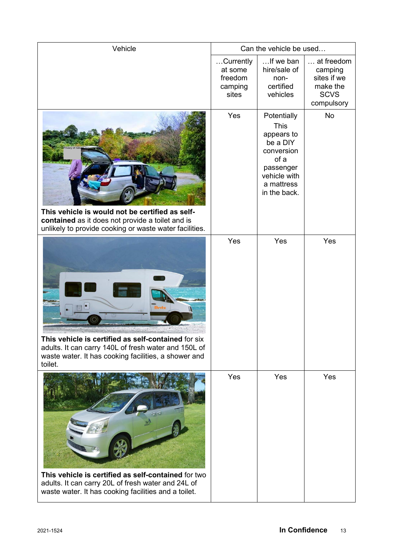| Vehicle                                                                                                                                                                        | Can the vehicle be used                             |                                                                                                                                       |                                                                               |
|--------------------------------------------------------------------------------------------------------------------------------------------------------------------------------|-----------------------------------------------------|---------------------------------------------------------------------------------------------------------------------------------------|-------------------------------------------------------------------------------|
|                                                                                                                                                                                | Currently<br>at some<br>freedom<br>camping<br>sites | If we ban<br>hire/sale of<br>non-<br>certified<br>vehicles                                                                            | at freedom<br>camping<br>sites if we<br>make the<br><b>SCVS</b><br>compulsory |
| This vehicle is would not be certified as self-<br>contained as it does not provide a toilet and is<br>unlikely to provide cooking or waste water facilities.                  | Yes                                                 | Potentially<br><b>This</b><br>appears to<br>be a DIY<br>conversion<br>of a<br>passenger<br>vehicle with<br>a mattress<br>in the back. | No                                                                            |
| This vehicle is certified as self-contained for six<br>adults. It can carry 140L of fresh water and 150L of<br>waste water. It has cooking facilities, a shower and<br>toilet. | Yes                                                 | Yes                                                                                                                                   | Yes                                                                           |
| This vehicle is certified as self-contained for two<br>adults. It can carry 20L of fresh water and 24L of<br>waste water. It has cooking facilities and a toilet.              | Yes                                                 | Yes                                                                                                                                   | Yes                                                                           |